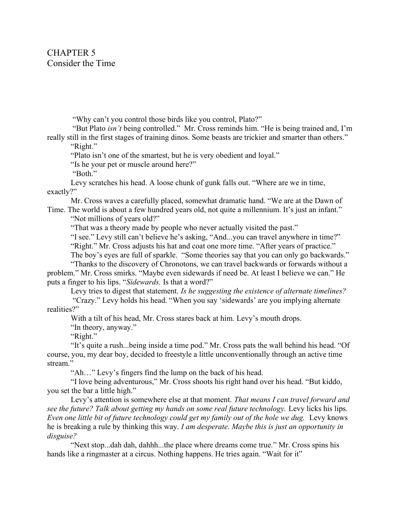"Why can't you control those birds like you control, Plato?"

 "But Plato isn't being controlled." Mr. Cross reminds him. "He is being trained and, I'm really still in the first stages of training dinos. Some beasts are trickier and smarter than others."

"Right."

"Plato isn't one of the smartest, but he is very obedient and loyal."

"Is he your pet or muscle around here?"

"Both."

Levy scratches his head. A loose chunk of gunk falls out. "Where are we in time, exactly?"

Mr. Cross waves a carefully placed, somewhat dramatic hand. "We are at the Dawn of Time. The world is about a few hundred years old, not quite a millennium. It's just an infant."

"Not millions of years old?"

"That was a theory made by people who never actually visited the past."

"I see." Levy still can't believe he's asking, "And...you can travel anywhere in time?"

"Right." Mr. Cross adjusts his hat and coat one more time. "After years of practice."

The boy's eyes are full of sparkle. "Some theories say that you can only go backwards."

"Thanks to the discovery of Chronotons, we can travel backwards or forwards without a problem." Mr. Cross smirks. "Maybe even sidewards if need be. At least I believe we can." He puts a finger to his lips. "Sidewards. Is that a word?"

Levy tries to digest that statement. Is he suggesting the existence of alternate timelines?

 "Crazy." Levy holds his head. "When you say 'sidewards' are you implying alternate realities?"

With a tilt of his head, Mr. Cross stares back at him. Levy's mouth drops.

"In theory, anyway."

"Right."

"It's quite a rush...being inside a time pod." Mr. Cross pats the wall behind his head. "Of course, you, my dear boy, decided to freestyle a little unconventionally through an active time stream."

"Ah…" Levy's fingers find the lump on the back of his head.

"I love being adventurous," Mr. Cross shoots his right hand over his head. "But kiddo, you set the bar a little high."

Levy's attention is somewhere else at that moment. That means I can travel forward and see the future? Talk about getting my hands on some real future technology. Levy licks his lips. Even one little bit of future technology could get my family out of the hole we dug. Levy knows he is breaking a rule by thinking this way. I am desperate. Maybe this is just an opportunity in disguise?

"Next stop...dah dah, dahhh...the place where dreams come true." Mr. Cross spins his hands like a ringmaster at a circus. Nothing happens. He tries again. "Wait for it"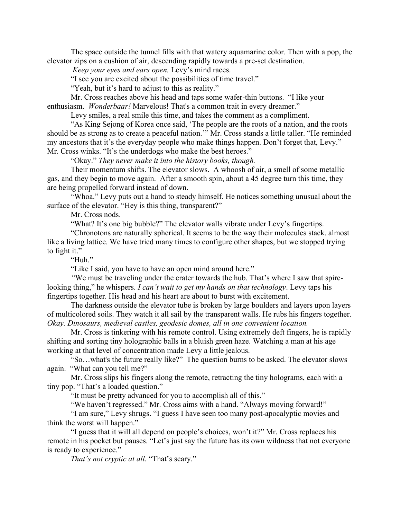The space outside the tunnel fills with that watery aquamarine color. Then with a pop, the elevator zips on a cushion of air, descending rapidly towards a pre-set destination.

Keep your eyes and ears open. Levy's mind races.

"I see you are excited about the possibilities of time travel."

"Yeah, but it's hard to adjust to this as reality."

Mr. Cross reaches above his head and taps some wafer-thin buttons. "I like your enthusiasm. Wonderbaar! Marvelous! That's a common trait in every dreamer."

Levy smiles, a real smile this time, and takes the comment as a compliment.

 "As King Sejong of Korea once said, 'The people are the roots of a nation, and the roots should be as strong as to create a peaceful nation.'" Mr. Cross stands a little taller. "He reminded my ancestors that it's the everyday people who make things happen. Don't forget that, Levy." Mr. Cross winks. "It's the underdogs who make the best heroes."

"Okay." They never make it into the history books, though.

Their momentum shifts. The elevator slows. A whoosh of air, a smell of some metallic gas, and they begin to move again. After a smooth spin, about a 45 degree turn this time, they are being propelled forward instead of down.

"Whoa." Levy puts out a hand to steady himself. He notices something unusual about the surface of the elevator. "Hey is this thing, transparent?"

Mr. Cross nods.

"What? It's one big bubble?" The elevator walls vibrate under Levy's fingertips.

"Chronotons are naturally spherical. It seems to be the way their molecules stack. almost like a living lattice. We have tried many times to configure other shapes, but we stopped trying to fight it."

"Huh."

"Like I said, you have to have an open mind around here."

"We must be traveling under the crater towards the hub. That's where I saw that spirelooking thing," he whispers. *I can't wait to get my hands on that technology*. Levy taps his fingertips together. His head and his heart are about to burst with excitement.

The darkness outside the elevator tube is broken by large boulders and layers upon layers of multicolored soils. They watch it all sail by the transparent walls. He rubs his fingers together. Okay. Dinosaurs, medieval castles, geodesic domes, all in one convenient location.

Mr. Cross is tinkering with his remote control. Using extremely deft fingers, he is rapidly shifting and sorting tiny holographic balls in a bluish green haze. Watching a man at his age working at that level of concentration made Levy a little jealous.

"So…what's the future really like?" The question burns to be asked. The elevator slows again. "What can you tell me?"

Mr. Cross slips his fingers along the remote, retracting the tiny holograms, each with a tiny pop. "That's a loaded question."

"It must be pretty advanced for you to accomplish all of this."

"We haven't regressed." Mr. Cross aims with a hand. "Always moving forward!"

"I am sure," Levy shrugs. "I guess I have seen too many post-apocalyptic movies and think the worst will happen."

"I guess that it will all depend on people's choices, won't it?" Mr. Cross replaces his remote in his pocket but pauses. "Let's just say the future has its own wildness that not everyone is ready to experience."

That's not cryptic at all. "That's scary."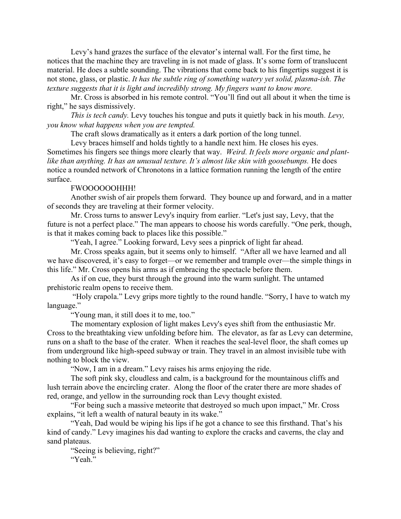Levy's hand grazes the surface of the elevator's internal wall. For the first time, he notices that the machine they are traveling in is not made of glass. It's some form of translucent material. He does a subtle sounding. The vibrations that come back to his fingertips suggest it is not stone, glass, or plastic. It has the subtle ring of something watery yet solid, plasma-ish. The texture suggests that it is light and incredibly strong. My fingers want to know more.

Mr. Cross is absorbed in his remote control. "You'll find out all about it when the time is right," he says dismissively.

This is tech candy. Levy touches his tongue and puts it quietly back in his mouth. Levy, you know what happens when you are tempted.

The craft slows dramatically as it enters a dark portion of the long tunnel.

Levy braces himself and holds tightly to a handle next him. He closes his eyes. Sometimes his fingers see things more clearly that way. Weird. It feels more organic and plantlike than anything. It has an unusual texture. It's almost like skin with goosebumps. He does notice a rounded network of Chronotons in a lattice formation running the length of the entire surface.

## FWOOOOOOHHH!

Another swish of air propels them forward. They bounce up and forward, and in a matter of seconds they are traveling at their former velocity.

Mr. Cross turns to answer Levy's inquiry from earlier. "Let's just say, Levy, that the future is not a perfect place." The man appears to choose his words carefully. "One perk, though, is that it makes coming back to places like this possible."

"Yeah, I agree." Looking forward, Levy sees a pinprick of light far ahead.

Mr. Cross speaks again, but it seems only to himself. "After all we have learned and all we have discovered, it's easy to forget—or we remember and trample over—the simple things in this life." Mr. Cross opens his arms as if embracing the spectacle before them.

As if on cue, they burst through the ground into the warm sunlight. The untamed prehistoric realm opens to receive them.

 "Holy crapola." Levy grips more tightly to the round handle. "Sorry, I have to watch my language."

"Young man, it still does it to me, too."

The momentary explosion of light makes Levy's eyes shift from the enthusiastic Mr. Cross to the breathtaking view unfolding before him. The elevator, as far as Levy can determine, runs on a shaft to the base of the crater. When it reaches the seal-level floor, the shaft comes up from underground like high-speed subway or train. They travel in an almost invisible tube with nothing to block the view.

"Now, I am in a dream." Levy raises his arms enjoying the ride.

The soft pink sky, cloudless and calm, is a background for the mountainous cliffs and lush terrain above the encircling crater. Along the floor of the crater there are more shades of red, orange, and yellow in the surrounding rock than Levy thought existed.

"For being such a massive meteorite that destroyed so much upon impact," Mr. Cross explains, "it left a wealth of natural beauty in its wake."

"Yeah, Dad would be wiping his lips if he got a chance to see this firsthand. That's his kind of candy." Levy imagines his dad wanting to explore the cracks and caverns, the clay and sand plateaus.

"Seeing is believing, right?" "Yeah."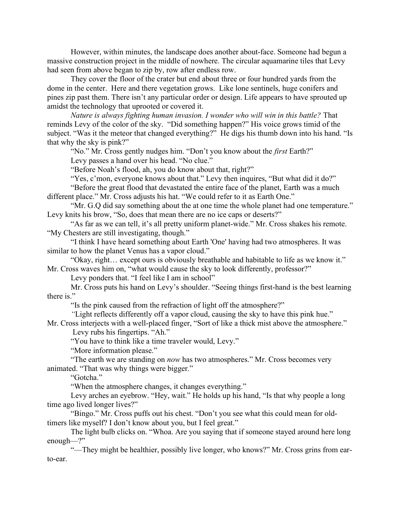However, within minutes, the landscape does another about-face. Someone had begun a massive construction project in the middle of nowhere. The circular aquamarine tiles that Levy had seen from above began to zip by, row after endless row.

They cover the floor of the crater but end about three or four hundred yards from the dome in the center. Here and there vegetation grows. Like lone sentinels, huge conifers and pines zip past them. There isn't any particular order or design. Life appears to have sprouted up amidst the technology that uprooted or covered it.

Nature is always fighting human invasion. I wonder who will win in this battle? That reminds Levy of the color of the sky. "Did something happen?" His voice grows timid of the subject. "Was it the meteor that changed everything?" He digs his thumb down into his hand. "Is that why the sky is pink?"

"No." Mr. Cross gently nudges him. "Don't you know about the *first* Earth?"

Levy passes a hand over his head. "No clue."

"Before Noah's flood, ah, you do know about that, right?"

"Yes, c'mon, everyone knows about that." Levy then inquires, "But what did it do?"

"Before the great flood that devastated the entire face of the planet, Earth was a much different place." Mr. Cross adjusts his hat. "We could refer to it as Earth One."

"Mr. G.Q did say something about the at one time the whole planet had one temperature." Levy knits his brow, "So, does that mean there are no ice caps or deserts?"

"As far as we can tell, it's all pretty uniform planet-wide." Mr. Cross shakes his remote. "My Chesters are still investigating, though."

"I think I have heard something about Earth 'One' having had two atmospheres. It was similar to how the planet Venus has a vapor cloud."

"Okay, right… except ours is obviously breathable and habitable to life as we know it." Mr. Cross waves him on, "what would cause the sky to look differently, professor?"

Levy ponders that. "I feel like I am in school"

Mr. Cross puts his hand on Levy's shoulder. "Seeing things first-hand is the best learning there is."

"Is the pink caused from the refraction of light off the atmosphere?"

"Light reflects differently off a vapor cloud, causing the sky to have this pink hue."

Mr. Cross interjects with a well-placed finger, "Sort of like a thick mist above the atmosphere." Levy rubs his fingertips. "Ah."

"You have to think like a time traveler would, Levy."

"More information please."

"The earth we are standing on *now* has two atmospheres." Mr. Cross becomes very animated. "That was why things were bigger."

"Gotcha."

"When the atmosphere changes, it changes everything."

Levy arches an eyebrow. "Hey, wait." He holds up his hand, "Is that why people a long time ago lived longer lives?"

"Bingo." Mr. Cross puffs out his chest. "Don't you see what this could mean for oldtimers like myself? I don't know about you, but I feel great."

The light bulb clicks on. "Whoa. Are you saying that if someone stayed around here long enough—?"

"—They might be healthier, possibly live longer, who knows?" Mr. Cross grins from earto-ear.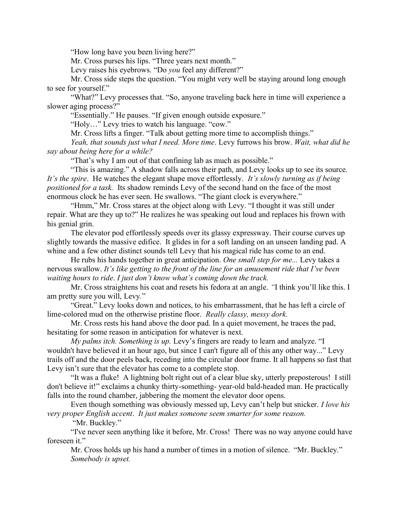"How long have you been living here?"

Mr. Cross purses his lips. "Three years next month."

Levy raises his eyebrows. "Do you feel any different?"

Mr. Cross side steps the question. "You might very well be staying around long enough to see for yourself."

"What?" Levy processes that. "So, anyone traveling back here in time will experience a slower aging process?"

"Essentially." He pauses. "If given enough outside exposure."

"Holy…" Levy tries to watch his language. "cow."

Mr. Cross lifts a finger. "Talk about getting more time to accomplish things."

Yeah, that sounds just what I need. More time. Levy furrows his brow. Wait, what did he say about being here for a while?

"That's why I am out of that confining lab as much as possible."

"This is amazing." A shadow falls across their path, and Levy looks up to see its source. It's the spire. He watches the elegant shape move effortlessly. It's slowly turning as if being positioned for a task. Its shadow reminds Levy of the second hand on the face of the most enormous clock he has ever seen. He swallows. "The giant clock is everywhere."

"Hmm," Mr. Cross stares at the object along with Levy. "I thought it was still under repair. What are they up to?" He realizes he was speaking out loud and replaces his frown with his genial grin.

The elevator pod effortlessly speeds over its glassy expressway. Their course curves up slightly towards the massive edifice. It glides in for a soft landing on an unseen landing pad. A whine and a few other distinct sounds tell Levy that his magical ride has come to an end.

He rubs his hands together in great anticipation. One small step for me... Levy takes a nervous swallow. It's like getting to the front of the line for an amusement ride that I've been waiting hours to ride. I just don't know what's coming down the track.

Mr. Cross straightens his coat and resets his fedora at an angle. "I think you'll like this. I am pretty sure you will, Levy."

"Great." Levy looks down and notices, to his embarrassment, that he has left a circle of lime-colored mud on the otherwise pristine floor. Really classy, messy dork.

Mr. Cross rests his hand above the door pad. In a quiet movement, he traces the pad, hesitating for some reason in anticipation for whatever is next.

*My palms itch. Something is up.* Levy's fingers are ready to learn and analyze. "I wouldn't have believed it an hour ago, but since I can't figure all of this any other way..." Levy trails off and the door peels back, receding into the circular door frame. It all happens so fast that Levy isn't sure that the elevator has come to a complete stop.

"It was a fluke! A lightning bolt right out of a clear blue sky, utterly preposterous! I still don't believe it!" exclaims a chunky thirty-something- year-old bald-headed man. He practically falls into the round chamber, jabbering the moment the elevator door opens.

Even though something was obviously messed up, Levy can't help but snicker. I love his very proper English accent. It just makes someone seem smarter for some reason.

"Mr. Buckley."

"I've never seen anything like it before, Mr. Cross! There was no way anyone could have foreseen it."

Mr. Cross holds up his hand a number of times in a motion of silence. "Mr. Buckley." Somebody is upset.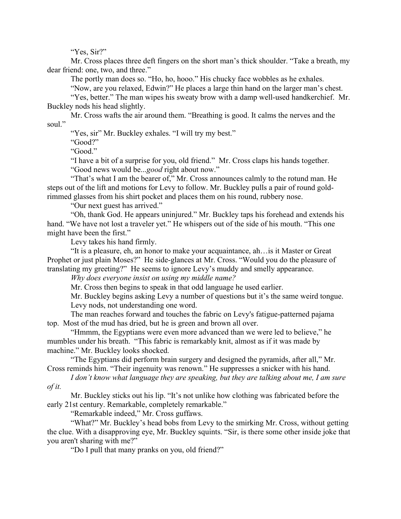"Yes, Sir?"

Mr. Cross places three deft fingers on the short man's thick shoulder. "Take a breath, my dear friend: one, two, and three."

The portly man does so. "Ho, ho, hooo." His chucky face wobbles as he exhales.

"Now, are you relaxed, Edwin?" He places a large thin hand on the larger man's chest.

"Yes, better." The man wipes his sweaty brow with a damp well-used handkerchief. Mr. Buckley nods his head slightly.

Mr. Cross wafts the air around them. "Breathing is good. It calms the nerves and the soul."

"Yes, sir" Mr. Buckley exhales. "I will try my best."

"Good?"

"Good."

"I have a bit of a surprise for you, old friend." Mr. Cross claps his hands together. "Good news would be...*good* right about now."

"That's what I am the bearer of," Mr. Cross announces calmly to the rotund man. He steps out of the lift and motions for Levy to follow. Mr. Buckley pulls a pair of round goldrimmed glasses from his shirt pocket and places them on his round, rubbery nose.

"Our next guest has arrived."

"Oh, thank God. He appears uninjured." Mr. Buckley taps his forehead and extends his hand. "We have not lost a traveler yet." He whispers out of the side of his mouth. "This one might have been the first."

Levy takes his hand firmly.

"It is a pleasure, eh, an honor to make your acquaintance, ah…is it Master or Great Prophet or just plain Moses?" He side-glances at Mr. Cross. "Would you do the pleasure of translating my greeting?" He seems to ignore Levy's muddy and smelly appearance.

Why does everyone insist on using my middle name?

Mr. Cross then begins to speak in that odd language he used earlier.

Mr. Buckley begins asking Levy a number of questions but it's the same weird tongue. Levy nods, not understanding one word.

The man reaches forward and touches the fabric on Levy's fatigue-patterned pajama top. Most of the mud has dried, but he is green and brown all over.

"Hmmm, the Egyptians were even more advanced than we were led to believe," he mumbles under his breath. "This fabric is remarkably knit, almost as if it was made by machine." Mr. Buckley looks shocked.

"The Egyptians did perform brain surgery and designed the pyramids, after all," Mr. Cross reminds him. "Their ingenuity was renown." He suppresses a snicker with his hand.

I don't know what language they are speaking, but they are talking about me, I am sure of it.

Mr. Buckley sticks out his lip. "It's not unlike how clothing was fabricated before the early 21st century. Remarkable, completely remarkable."

"Remarkable indeed," Mr. Cross guffaws.

"What?" Mr. Buckley's head bobs from Levy to the smirking Mr. Cross, without getting the clue. With a disapproving eye, Mr. Buckley squints. "Sir, is there some other inside joke that you aren't sharing with me?"

"Do I pull that many pranks on you, old friend?"